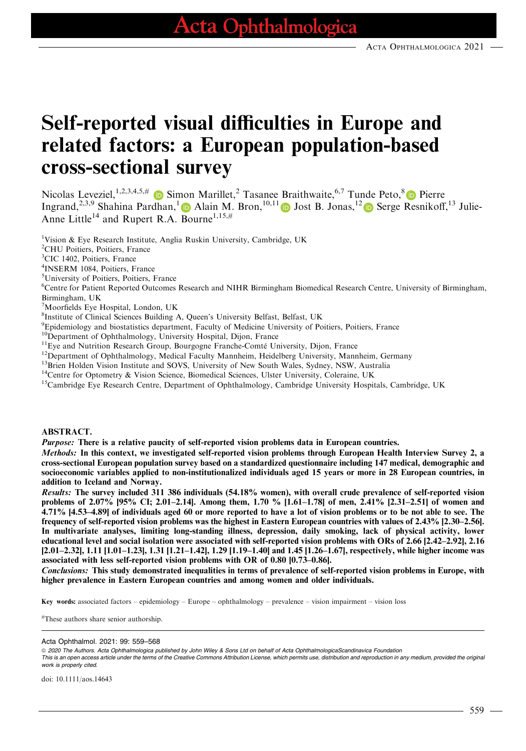# Self-reported visual difficulties in Europe and related factors: a European population-based cross-sectional survey

Nicolas Leveziel,  $^{1,2,3,4,5,\#}$  in Simon Marillet,<sup>2</sup> Tasanee Braithwaite,  $^{6,7}$  Tunde Peto,  $^{8}$  in Pierre Ingrand,<sup>[2](https://orcid.org/0000-0003-2972-5227),3,9</sup> Shahina Pardhan,<sup>1</sup> Alain M. Bron,<sup>10,11</sup> D Jost B. Jonas,<sup>12</sup> D Serge Resnikoff,<sup>13</sup> Julie-Anne Little<sup>14</sup> and Rupert R.A. Bourne<sup>1,15,#</sup>

<sup>1</sup>Vision & Eye Research Institute, Anglia Ruskin University, Cambridge, UK

2 CHU Poitiers, Poitiers, France

<sup>3</sup>CIC 1402, Poitiers, France

4 INSERM 1084, Poitiers, France

5 University of Poitiers, Poitiers, France

6 Centre for Patient Reported Outcomes Research and NIHR Birmingham Biomedical Research Centre, University of Birmingham, Birmingham, UK

7 Moorfields Eye Hospital, London, UK

8 Institute of Clinical Sciences Building A, Queen's University Belfast, Belfast, UK

- <sup>9</sup>Epidemiology and biostatistics department, Faculty of Medicine University of Poitiers, Poitiers, France
- 

 $^{10}$ Department of Ophthalmology, University Hospital, Dijon, France<br> $^{11}$ Eye and Nutrition Research Group, Bourgogne Franche-Comté University, Dijon, France

- <sup>12</sup>Department of Ophthalmology, Medical Faculty Mannheim, Heidelberg University, Mannheim, Germany
- <sup>13</sup>Brien Holden Vision Institute and SOVS, University of New South Wales, Sydney, NSW, Australia

<sup>14</sup>Centre for Optometry & Vision Science, Biomedical Sciences, Ulster University, Coleraine, UK

<sup>15</sup>Cambridge Eye Research Centre, Department of Ophthalmology, Cambridge University Hospitals, Cambridge, UK

#### ABSTRACT.

Purpose: There is a relative paucity of self-reported vision problems data in European countries.

Methods: In this context, we investigated self-reported vision problems through European Health Interview Survey 2, a cross-sectional European population survey based on a standardized questionnaire including 147 medical, demographic and socioeconomic variables applied to non-institutionalized individuals aged 15 years or more in 28 European countries, in addition to Iceland and Norway.

Results: The survey included 311 386 individuals (54.18% women), with overall crude prevalence of self-reported vision problems of 2.07% [95% CI; 2.01–2.14]. Among them, 1.70 % [1.61–1.78] of men, 2.41% [2.31–2.51] of women and 4.71% [4.53–4.89] of individuals aged 60 or more reported to have a lot of vision problems or to be not able to see. The frequency of self-reported vision problems was the highest in Eastern European countries with values of 2.43% [2.30–2.56]. In multivariate analyses, limiting long-standing illness, depression, daily smoking, lack of physical activity, lower educational level and social isolation were associated with self-reported vision problems with ORs of 2.66 [2.42–2.92], 2.16 [2.01–2.32], 1.11 [1.01–1.23], 1.31 [1.21–1.42], 1.29 [1.19–1.40] and 1.45 [1.26–1.67], respectively, while higher income was associated with less self-reported vision problems with OR of 0.80 [0.73–0.86].

Conclusions: This study demonstrated inequalities in terms of prevalence of self-reported vision problems in Europe, with higher prevalence in Eastern European countries and among women and older individuals.

Key words: associated factors – epidemiology – Europe – ophthalmology – prevalence – vision impairment – vision loss

# These authors share senior authorship.

Acta Ophthalmol. 2021: 99: 559–568

ª 2020 The Authors. Acta Ophthalmologica published by John Wiley & Sons Ltd on behalf of Acta OphthalmologicaScandinavica Foundation

This is an open access article under the terms of the [Creative Commons Attribution](http://creativecommons.org/licenses/by/4.0/) License, which permits use, distribution and reproduction in any medium, provided the original work is properly cited.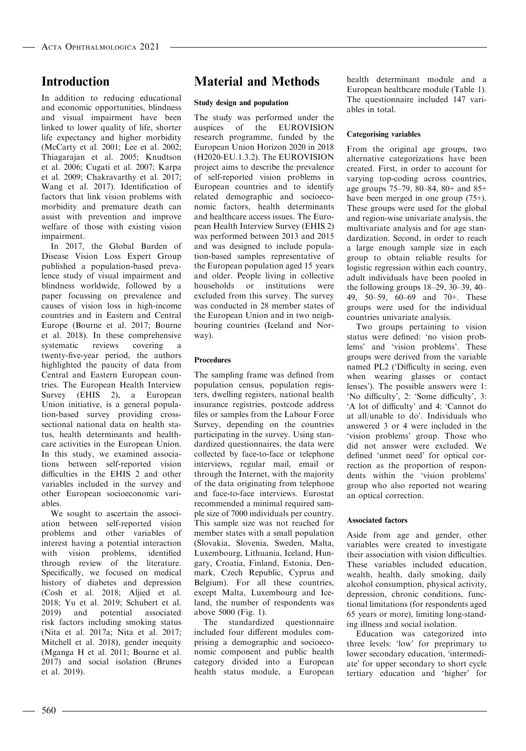# Introduction

In addition to reducing educational and economic opportunities, blindness and visual impairment have been linked to lower quality of life, shorter life expectancy and higher morbidity (McCarty et al. 2001; Lee et al. 2002; Thiagarajan et al. 2005; Knudtson et al. 2006; Cugati et al. 2007; Karpa et al. 2009; Chakravarthy et al. 2017; Wang et al. 2017). Identification of factors that link vision problems with morbidity and premature death can assist with prevention and improve welfare of those with existing vision impairment.

In 2017, the Global Burden of Disease Vision Loss Expert Group published a population-based prevalence study of visual impairment and blindness worldwide, followed by a paper focussing on prevalence and causes of vision loss in high-income countries and in Eastern and Central Europe (Bourne et al. 2017; Bourne et al. 2018). In these comprehensive<br>systematic reviews covering a systematic reviews covering a twenty-five-year period, the authors highlighted the paucity of data from Central and Eastern European countries. The European Health Interview Survey (EHIS 2), a European Union initiative, is a general population-based survey providing crosssectional national data on health status, health determinants and healthcare activities in the European Union. In this study, we examined associations between self-reported vision difficulties in the EHIS 2 and other variables included in the survey and other European socioeconomic variables.

We sought to ascertain the association between self-reported vision problems and other variables of interest having a potential interaction with vision problems, identified through review of the literature. Specifically, we focused on medical history of diabetes and depression (Cosh et al. 2018; Aljied et al. 2018; Yu et al. 2019; Schubert et al. 2019) and potential associated risk factors including smoking status (Nita et al. 2017a; Nita et al. 2017; Mitchell et al. 2018), gender inequity (Mganga H et al. 2011; Bourne et al. 2017) and social isolation (Brunes et al. 2019).

# Material and Methods

#### Study design and population

The study was performed under the auspices of the EUROVISION research programme, funded by the European Union Horizon 2020 in 2018 (H2020-EU.1.3.2). The EUROVISION project aims to describe the prevalence of self-reported vision problems in European countries and to identify related demographic and socioeconomic factors, health determinants and healthcare access issues. The European Health Interview Survey (EHIS 2) was performed between 2013 and 2015 and was designed to include population-based samples representative of the European population aged 15 years and older. People living in collective households or institutions were excluded from this survey. The survey was conducted in 28 member states of the European Union and in two neighbouring countries (Iceland and Norway).

#### Procedures

The sampling frame was defined from population census, population registers, dwelling registers, national health insurance registries, postcode address files or samples from the Labour Force Survey, depending on the countries participating in the survey. Using standardized questionnaires, the data were collected by face-to-face or telephone interviews, regular mail, email or through the Internet, with the majority of the data originating from telephone and face-to-face interviews. Eurostat recommended a minimal required sample size of 7000 individuals per country. This sample size was not reached for member states with a small population (Slovakia, Slovenia, Sweden, Malta, Luxembourg, Lithuania, Iceland, Hungary, Croatia, Finland, Estonia, Denmark, Czech Republic, Cyprus and Belgium). For all these countries, except Malta, Luxembourg and Iceland, the number of respondents was above 5000 (Fig. 1).

The standardized questionnaire included four different modules comprising a demographic and socioeconomic component and public health category divided into a European health status module, a European health determinant module and a European healthcare module (Table 1). The questionnaire included 147 variables in total.

#### Categorising variables

From the original age groups, two alternative categorizations have been created. First, in order to account for varying top-coding across countries, age groups 75–79, 80–84, 80+ and 85+ have been merged in one group (75+). These groups were used for the global and region-wise univariate analysis, the multivariate analysis and for age standardization. Second, in order to reach a large enough sample size in each group to obtain reliable results for logistic regression within each country, adult individuals have been pooled in the following groups 18–29, 30–39, 40– 49, 50–59, 60–69 and 70+. These groups were used for the individual countries univariate analysis.

Two groups pertaining to vision status were defined: 'no vision problems' and 'vision problems'. These groups were derived from the variable named PL2 ('Difficulty in seeing, even when wearing glasses or contact lenses'). The possible answers were 1: 'No difficulty', 2: 'Some difficulty', 3: 'A lot of difficulty' and 4: 'Cannot do at all/unable to do'. Individuals who answered 3 or 4 were included in the 'vision problems' group. Those who did not answer were excluded. We defined 'unmet need' for optical correction as the proportion of respondents within the 'vision problems' group who also reported not wearing an optical correction.

#### Associated factors

Aside from age and gender, other variables were created to investigate their association with vision difficulties. These variables included education, wealth, health, daily smoking, daily alcohol consumption, physical activity, depression, chronic conditions, functional limitations (for respondents aged 65 years or more), limiting long-standing illness and social isolation.

Education was categorized into three levels: 'low' for preprimary to lower secondary education, 'intermediate' for upper secondary to short cycle tertiary education and 'higher' for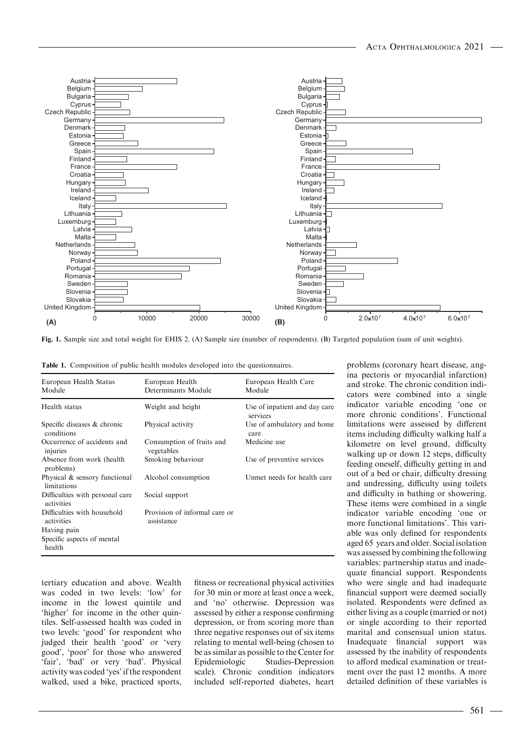

Fig. 1. Sample size and total weight for EHIS 2. (A) Sample size (number of respondents). (B) Targeted population (sum of unit weights).

|  |  |  |  |  |  |  |  | <b>Table 1.</b> Composition of public health modules developed into the questionnaires. |  |
|--|--|--|--|--|--|--|--|-----------------------------------------------------------------------------------------|--|
|--|--|--|--|--|--|--|--|-----------------------------------------------------------------------------------------|--|

| European Health Status<br>Module              | European Health<br>Determinants Module      | European Health Care<br>Module            |
|-----------------------------------------------|---------------------------------------------|-------------------------------------------|
| Health status                                 | Weight and height                           | Use of inpatient and day care<br>services |
| Specific diseases & chronic<br>conditions     | Physical activity                           | Use of ambulatory and home<br>care        |
| Occurrence of accidents and<br>injuries       | Consumption of fruits and<br>vegetables     | Medicine use                              |
| Absence from work (health)<br>problems)       | Smoking behaviour                           | Use of preventive services                |
| Physical & sensory functional<br>limitations  | Alcohol consumption                         | Unmet needs for health care               |
| Difficulties with personal care<br>activities | Social support                              |                                           |
| Difficulties with household<br>activities     | Provision of informal care or<br>assistance |                                           |
| Having pain                                   |                                             |                                           |
| Specific aspects of mental<br>health          |                                             |                                           |

tertiary education and above. Wealth was coded in two levels: 'low' for income in the lowest quintile and 'higher' for income in the other quintiles. Self-assessed health was coded in two levels: 'good' for respondent who judged their health 'good' or 'very good', 'poor' for those who answered 'fair', 'bad' or very 'bad'. Physical activity was coded 'yes' if the respondent walked, used a bike, practiced sports, fitness or recreational physical activities for 30 min or more at least once a week, and 'no' otherwise. Depression was assessed by either a response confirming depression, or from scoring more than three negative responses out of six items relating to mental well-being (chosen to be as similar as possible to the Center for Epidemiologic Studies-Depression scale). Chronic condition indicators included self-reported diabetes, heart

problems (coronary heart disease, angina pectoris or myocardial infarction) and stroke. The chronic condition indicators were combined into a single indicator variable encoding 'one or more chronic conditions'. Functional limitations were assessed by different items including difficulty walking half a kilometre on level ground, difficulty walking up or down 12 steps, difficulty feeding oneself, difficulty getting in and out of a bed or chair, difficulty dressing and undressing, difficulty using toilets and difficulty in bathing or showering. These items were combined in a single indicator variable encoding 'one or more functional limitations'. This variable was only defined for respondents aged 65 years and older. Social isolation was assessed by combining the following variables: partnership status and inadequate financial support. Respondents who were single and had inadequate financial support were deemed socially isolated. Respondents were defined as either living as a couple (married or not) or single according to their reported marital and consensual union status. Inadequate financial support was assessed by the inability of respondents to afford medical examination or treatment over the past 12 months. A more detailed definition of these variables is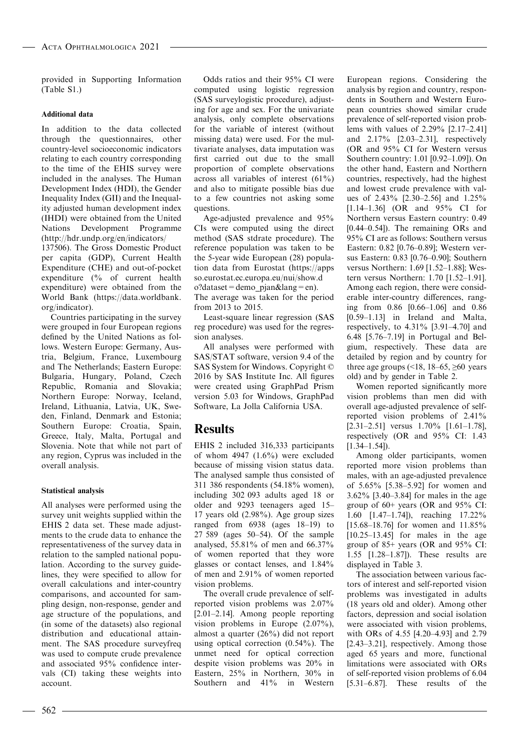provided in Supporting Information (Table S1.)

#### Additional data

In addition to the data collected through the questionnaires, other country-level socioeconomic indicators relating to each country corresponding to the time of the EHIS survey were included in the analyses. The Human Development Index (HDI), the Gender Inequality Index (GII) and the Inequality adjusted human development index (IHDI) were obtained from the United Nations Development Programme [\(http://hdr.undp.org/en/indicators/](http://hdr.undp.org/en/indicators/137506) [137506](http://hdr.undp.org/en/indicators/137506)). The Gross Domestic Product

per capita (GDP), Current Health Expenditure (CHE) and out-of-pocket expenditure (% of current health expenditure) were obtained from the World Bank [\(https://data.worldbank.](https://data.worldbank.org/indicator) [org/indicator](https://data.worldbank.org/indicator)).

Countries participating in the survey were grouped in four European regions defined by the United Nations as follows. Western Europe: Germany, Austria, Belgium, France, Luxembourg and The Netherlands; Eastern Europe: Bulgaria, Hungary, Poland, Czech Republic, Romania and Slovakia; Northern Europe: Norway, Iceland, Ireland, Lithuania, Latvia, UK, Sweden, Finland, Denmark and Estonia; Southern Europe: Croatia, Spain, Greece, Italy, Malta, Portugal and Slovenia. Note that while not part of any region, Cyprus was included in the overall analysis.

#### Statistical analysis

All analyses were performed using the survey unit weights supplied within the EHIS 2 data set. These made adjustments to the crude data to enhance the representativeness of the survey data in relation to the sampled national population. According to the survey guidelines, they were specified to allow for overall calculations and inter-country comparisons, and accounted for sampling design, non-response, gender and age structure of the populations, and (in some of the datasets) also regional distribution and educational attainment. The SAS procedure surveyfreq was used to compute crude prevalence and associated 95% confidence intervals (CI) taking these weights into account.

Odds ratios and their 95% CI were computed using logistic regression (SAS surveylogistic procedure), adjusting for age and sex. For the univariate analysis, only complete observations for the variable of interest (without missing data) were used. For the multivariate analyses, data imputation was first carried out due to the small proportion of complete observations across all variables of interest (61%) and also to mitigate possible bias due to a few countries not asking some questions.

Age-adjusted prevalence and 95% CIs were computed using the direct method (SAS stdrate procedure). The reference population was taken to be the 5-year wide European (28) population data from Eurostat [\(https://apps](https://appsso.eurostat.ec.europa.eu/nui/show.do?dataset=demo_pjan&lang=en) [so.eurostat.ec.europa.eu/nui/show.d](https://appsso.eurostat.ec.europa.eu/nui/show.do?dataset=demo_pjan&lang=en)  $o$ ?dataset=demo\_pjan&lang=en). The average was taken for the period from 2013 to 2015.

Least-square linear regression (SAS reg procedure) was used for the regression analyses.

All analyses were performed with SAS/STAT software, version 9.4 of the SAS System for Windows. Copyright © 2016 by SAS Institute Inc. All figures were created using GraphPad Prism version 5.03 for Windows, GraphPad Software, La Jolla California USA.

## **Results**

EHIS 2 included 316,333 participants of whom  $4947$   $(1.6\%)$  were excluded because of missing vision status data. The analysed sample thus consisted of 311 386 respondents (54.18% women), including 302 093 adults aged 18 or older and 9293 teenagers aged 15– 17 years old (2.98%). Age group sizes ranged from 6938 (ages 18–19) to 27 589 (ages 50–54). Of the sample analysed, 55.81% of men and 66.37% of women reported that they wore glasses or contact lenses, and 1.84% of men and 2.91% of women reported vision problems.

The overall crude prevalence of selfreported vision problems was 2.07% [2.01–2.14]. Among people reporting vision problems in Europe (2.07%), almost a quarter (26%) did not report using optical correction (0.54%). The unmet need for optical correction despite vision problems was 20% in Eastern, 25% in Northern, 30% in Southern and 41% in Western

European regions. Considering the analysis by region and country, respondents in Southern and Western European countries showed similar crude prevalence of self-reported vision problems with values of 2.29% [2.17–2.41] and 2.17% [2.03–2.31], respectively (OR and 95% CI for Western versus Southern country: 1.01 [0.92–1.09]). On the other hand, Eastern and Northern countries, respectively, had the highest and lowest crude prevalence with values of 2.43% [2.30–2.56] and 1.25% [1.14–1.36] (OR and 95% CI for Northern versus Eastern country: 0.49 [0.44–0.54]). The remaining ORs and 95% CI are as follows: Southern versus Eastern: 0.82 [0.76–0.89]; Western versus Eastern: 0.83 [0.76–0.90]; Southern versus Northern: 1.69 [1.52–1.88]; Western versus Northern: 1.70 [1.52–1.91]. Among each region, there were considerable inter-country differences, ranging from 0.86 [0.66–1.06] and 0.86 [0.59–1.13] in Ireland and Malta, respectively, to  $4.31\%$  [3.91–4.70] and 6.48 [5.76–7.19] in Portugal and Belgium, respectively. These data are detailed by region and by country for three age groups  $($  <18, 18–65,  $\geq 60$  years old) and by gender in Table 2.

Women reported significantly more vision problems than men did with overall age-adjusted prevalence of selfreported vision problems of 2.41% [2.31–2.51] versus 1.70% [1.61–1.78], respectively (OR and 95% CI: 1.43  $[1.34-1.54]$ .

Among older participants, women reported more vision problems than males, with an age-adjusted prevalence of 5.65% [5.38–5.92] for women and 3.62% [3.40–3.84] for males in the age group of 60+ years (OR and 95% CI: 1.60 [1.47–1.74]), reaching 17.22% [15.68–18.76] for women and 11.85% [10.25–13.45] for males in the age group of 85+ years (OR and 95% CI: 1.55 [1.28–1.87]). These results are displayed in Table 3.

The association between various factors of interest and self-reported vision problems was investigated in adults (18 years old and older). Among other factors, depression and social isolation were associated with vision problems, with ORs of 4.55 [4.20–4.93] and 2.79 [2.43–3.21], respectively. Among those aged 65 years and more, functional limitations were associated with ORs of self-reported vision problems of 6.04 [5.31–6.87]. These results of the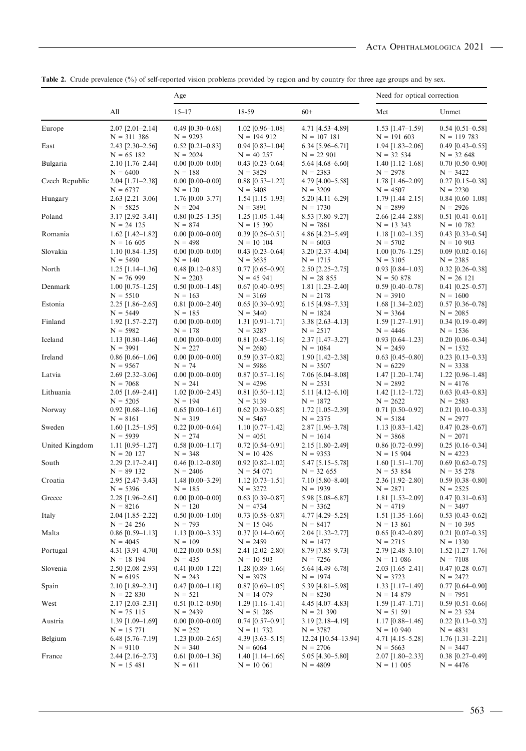|                |                                        | Age                              |                                    | Need for optical correction       |                                    |                                    |
|----------------|----------------------------------------|----------------------------------|------------------------------------|-----------------------------------|------------------------------------|------------------------------------|
|                | All                                    | $15 - 17$                        | 18-59                              | $60+$                             | Met                                | Unmet                              |
| Europe         | $2.07$ [ $2.01 - 2.14$ ]               | $0.49$ [0.30-0.68]               | $1.02$ [0.96-1.08]                 | 4.71 [4.53-4.89]                  | $1.53$ [1.47-1.59]                 | $0.54$ [0.51-0.58]                 |
|                | $N = 311386$                           | $N = 9293$                       | $N = 194912$                       | $N = 107181$                      | $N = 191603$                       | $N = 119783$                       |
| East           | 2.43 [2.30-2.56]<br>$N = 65182$        | $0.52$ [0.21-0.83]<br>$N = 2024$ | $0.94$ [0.83-1.04]<br>$N = 40 257$ | 6.34 [5.96-6.71]<br>$N = 22901$   | $1.94$ [1.83-2.06]<br>$N = 32 534$ | $0.49$ [0.43-0.55]<br>$N = 32,648$ |
| Bulgaria       | $2.10$ [1.76–2.44]                     | $0.00$ [0.00-0.00]               | $0.43$ [0.23-0.64]                 | 5.64 [4.68-6.60]                  | $1.40$ [1.12-1.68]                 | $0.70$ [0.50-0.90]                 |
|                | $N = 6400$                             | $N = 188$                        | $N = 3829$                         | $N = 2383$                        | $N = 2978$                         | $N = 3422$                         |
| Czech Republic | 2.04 [1.71-2.38]                       | $0.00$ [0.00-0.00]               | $0.88$ [0.53-1.22]                 | 4.79 [4.00-5.58]                  | 1.78 [1.46-2.09]                   | $0.27$ [0.15-0.38]                 |
|                | $N = 6737$                             | $N = 120$                        | $N = 3408$                         | $N = 3209$                        | $N = 4507$                         | $N = 2230$                         |
| Hungary        | $2.63$ [ $2.21 - 3.06$ ]<br>$N = 5825$ | $1.76$ [0.00-3.77]<br>$N = 204$  | $1.54$ [1.15–1.93]<br>$N = 3891$   | $5.20$ [4.11-6.29]<br>$N = 1730$  | $1.79$ [1.44-2.15]<br>$N = 2899$   | $0.84$ [0.60-1.08]<br>$N = 2926$   |
| Poland         | $3.17$ [2.92-3.41]                     | $0.80$ [0.25-1.35]               | $1.25$ [1.05-1.44]                 | 8.53 [7.80-9.27]                  | $2.66$ [ $2.44 - 2.88$ ]           | $0.51$ [0.41-0.61]                 |
|                | $N = 24 125$                           | $N = 874$                        | $N = 15390$                        | $N = 7861$                        | $N = 13343$                        | $N = 10,782$                       |
| Romania        | $1.62$ [1.42–1.82]                     | $0.00$ [0.00-0.00]               | $0.39$ [0.26-0.51]                 | 4.86 [4.23-5.49]                  | $1.18$ [1.02-1.35]                 | $0.43$ [0.33-0.54]                 |
|                | $N = 16605$                            | $N = 498$                        | $N = 10 104$                       | $N = 6003$                        | $N = 5702$                         | $N = 10903$                        |
| Slovakia       | $1.10$ [0.84–1.35]<br>$N = 5490$       | $0.00$ [0.00-0.00]<br>$N = 140$  | $0.43$ [0.23-0.64]<br>$N = 3635$   | 3.20 [2.37-4.04]<br>$N = 1715$    | $1.00$ [0.76-1.25]<br>$N = 3105$   | $0.09$ [0.02-0.16]<br>$N = 2385$   |
| North          | $1.25$ [1.14–1.36]                     | $0.48$ [0.12–0.83]               | $0.77$ [0.65-0.90]                 | $2.50$ [ $2.25 - 2.75$ ]          | $0.93$ [0.84–1.03]                 | $0.32$ [0.26-0.38]                 |
|                | $N = 76999$                            | $N = 2203$                       | $N = 45941$                        | $N = 28855$                       | $N = 50 878$                       | $N = 26$ 121                       |
| Denmark        | $1.00$ [0.75-1.25]                     | $0.50$ [ $0.00-1.48$ ]           | $0.67$ [0.40-0.95]                 | $1.81$ [1.23-2.40]                | $0.59$ [0.40-0.78]                 | $0.41$ [0.25-0.57]                 |
|                | $N = 5510$                             | $N = 163$                        | $N = 3169$                         | $N = 2178$                        | $N = 3910$                         | $N = 1600$                         |
| Estonia        | $2.25$ [1.86-2.65]<br>$N = 5449$       | $0.81$ [0.00-2.40]<br>$N = 185$  | $0.65$ [0.39-0.92]<br>$N = 3440$   | $6.15$ [4.98-7.33]<br>$N = 1824$  | $1.68$ [1.34-2.02]<br>$N = 3364$   | $0.57$ [0.36-0.78]<br>$N = 2085$   |
| Finland        | $1.92$ [1.57-2.27]                     | $0.00$ [0.00-0.00]               | $1.31$ [0.91-1.71]                 | $3.38$ [2.63-4.13]                | $1.59$ [1.27-1.91]                 | $0.34$ [0.19-0.49]                 |
|                | $N = 5982$                             | $N = 178$                        | $N = 3287$                         | $N = 2517$                        | $N = 4446$                         | $N = 1536$                         |
| Iceland        | $1.13$ [0.80-1.46]                     | $0.00$ [0.00-0.00]               | $0.81$ [0.45-1.16]                 | $2.37$ [1.47-3.27]                | $0.93$ [0.64-1.23]                 | $0.20$ [0.06-0.34]                 |
|                | $N = 3991$                             | $N = 227$                        | $N = 2680$                         | $N = 1084$                        | $N = 2459$                         | $N = 1532$                         |
| Ireland        | $0.86$ [0.66-1.06]<br>$N = 9567$       | $0.00$ [0.00-0.00]<br>$N = 74$   | $0.59$ [0.37-0.82]<br>$N = 5986$   | $1.90$ [1.42-2.38]<br>$N = 3507$  | $0.63$ [0.45-0.80]<br>$N = 6229$   | $0.23$ [0.13-0.33]<br>$N = 3338$   |
| Latvia         | 2.69 [2.32-3.06]                       | $0.00$ [0.00-0.00]               | $0.87$ [0.57-1.16]                 | $7.06$ [6.04-8.08]                | $1.47$ [1.20-1.74]                 | $1.22$ [0.96-1.48]                 |
|                | $N = 7068$                             | $N = 241$                        | $N = 4296$                         | $N = 2531$                        | $N = 2892$                         | $N = 4176$                         |
| Lithuania      | $2.05$ [1.69-2.41]                     | $1.02$ [0.00-2.43]               | $0.81$ [0.50-1.12]                 | $5.11$ [4.12-6.10]                | $1.42$ [1.12-1.72]                 | $0.63$ [0.43-0.83]                 |
|                | $N = 5205$                             | $N = 194$                        | $N = 3139$                         | $N = 1872$                        | $N = 2622$                         | $N = 2583$                         |
| Norway         | $0.92$ [0.68-1.16]<br>$N = 8161$       | $0.65$ [0.00-1.61]<br>$N = 319$  | $0.62$ [0.39-0.85]<br>$N = 5467$   | $1.72$ [1.05-2.39]<br>$N = 2375$  | $0.71$ [0.50-0.92]<br>$N = 5184$   | $0.21$ [0.10-0.33]<br>$N = 2977$   |
| Sweden         | $1.60$ [1.25-1.95]                     | $0.22$ [0.00-0.64]               | $1.10$ [0.77–1.42]                 | 2.87 [1.96-3.78]                  | $1.13$ [0.83-1.42]                 | $0.47$ [0.28-0.67]                 |
|                | $N = 5939$                             | $N = 274$                        | $N = 4051$                         | $N = 1614$                        | $N = 3868$                         | $N = 2071$                         |
| United Kingdom | $1.11$ [0.95-1.27]                     | $0.58$ [0.00-1.17]               | $0.72$ [0.54–0.91]                 | 2.15 [1.80-2.49]                  | $0.86$ [0.72-0.99]                 | $0.25$ [0.16-0.34]                 |
|                | $N = 20 127$                           | $N = 348$                        | $N = 10$ 426                       | $N = 9353$                        | $N = 15904$                        | $N = 4223$                         |
| South          | 2.29 [2.17-2.41]<br>$N = 89132$        | $0.46$ [0.12-0.80]<br>$N = 2406$ | $0.92$ [0.82-1.02]<br>$N = 54071$  | 5.47 [5.15-5.78]<br>$N = 32 655$  | $1.60$ [1.51-1.70]<br>$N = 53854$  | $0.69$ [0.62-0.75]<br>$N = 35 278$ |
| Croatia        | 2.95 [2.47-3.43]                       | 1.48 [0.00-3.29]                 | $1.12$ [0.73-1.51]                 | 7.10 [5.80-8.40]                  | 2.36 [1.92-2.80]                   | $0.59\ [0.38\text{--}0.80]$        |
|                | $N = 5396$                             | $N = 185$                        | $N = 3272$                         | $N = 1939$                        | $N = 2871$                         | $N = 2525$                         |
| Greece         | $2.28$ [1.96-2.61]                     | $0.00$ [0.00-0.00]               | $0.63$ [0.39-0.87]                 | 5.98 [5.08-6.87]                  | $1.81$ [1.53-2.09]                 | $0.47$ [0.31-0.63]                 |
|                | $N = 8216$                             | $N = 120$                        | $N = 4734$                         | $N = 3362$                        | $N = 4719$                         | $N = 3497$                         |
| Italy          | $2.04$ [1.85-2.22]<br>$N = 24 256$     | $0.50$ [0.00-1.00]<br>$N = 793$  | $0.73$ [0.58-0.87]<br>$N = 15046$  | 4.77 [4.29-5.25]<br>$N = 8417$    | $1.51$ [1.35-1.66]<br>$N = 13,861$ | $0.53$ [0.43-0.62]<br>$N = 10$ 395 |
| Malta          | $0.86$ [0.59-1.13]                     | $1.13$ [0.00-3.33]               | $0.37$ [0.14–0.60]                 | 2.04 [1.32-2.77]                  | $0.65$ [0.42-0.89]                 | $0.21$ [0.07-0.35]                 |
|                | $N = 4045$                             | $N = 109$                        | $N = 2459$                         | $N = 1477$                        | $N = 2715$                         | $N = 1330$                         |
| Portugal       | $4.31$ [3.91–4.70]                     | $0.22$ [0.00-0.58]               | $2.41$ [ $2.02 - 2.80$ ]           | 8.79 [7.85-9.73]                  | $2.79$ [ $2.48 - 3.10$ ]           | $1.52$ [1.27–1.76]                 |
| Slovenia       | $N = 18$ 194                           | $N = 435$                        | $N = 10,503$                       | $N = 7256$                        | $N = 11086$                        | $N = 7108$                         |
|                | 2.50 [2.08-2.93]<br>$N = 6195$         | $0.41$ [0.00-1.22]<br>$N = 243$  | $1.28$ [0.89-1.66]<br>$N = 3978$   | 5.64 [4.49-6.78]<br>$N = 1974$    | $2.03$ [1.65-2.41]<br>$N = 3723$   | $0.47$ [0.28-0.67]<br>$N = 2472$   |
| Spain          | 2.10 [1.89-2.31]                       | $0.47$ [0.00-1.18]               | $0.87$ [0.69-1.05]                 | 5.39 [4.81-5.98]                  | $1.33$ [1.17-1.49]                 | $0.77$ [0.64-0.90]                 |
|                | $N = 22830$                            | $N = 521$                        | $N = 14079$                        | $N = 8230$                        | $N = 14 879$                       | $N = 7951$                         |
| West           | 2.17 [2.03-2.31]                       | $0.51$ [0.12-0.90]               | $1.29$ [1.16-1.41]                 | $4.45$ [4.07–4.83]                | $1.59$ [1.47-1.71]                 | $0.59$ [0.51-0.66]                 |
| Austria        | $N = 75115$<br>$1.39$ [1.09-1.69]      | $N = 2439$<br>$0.00$ [0.00-0.00] | $N = 51286$<br>$0.74$ [0.57-0.91]  | $N = 21390$<br>$3.19$ [2.18-4.19] | $N = 51 591$<br>$1.17$ [0.88-1.46] | $N = 23,524$<br>$0.22$ [0.13-0.32] |
|                | $N = 15 771$                           | $N = 252$                        | $N = 11 732$                       | $N = 3787$                        | $N = 10940$                        | $N = 4831$                         |
| Belgium        | 6.48 [5.76-7.19]                       | $1.23$ [0.00-2.65]               | 4.39 $[3.63 - 5.15]$               | 12.24 [10.54–13.94]               | 4.71 [4.15-5.28]                   | $1.76$ [1.31–2.21]                 |
|                | $N = 9110$                             | $N = 340$                        | $N = 6064$                         | $N = 2706$                        | $N = 5663$                         | $N = 3447$                         |
| France         | $2.44$ [ $2.16 - 2.73$ ]               | $0.61$ [0.00-1.36]               | $1.40$ [1.14–1.66]                 | 5.05 [4.30-5.80]                  | $2.07$ [1.80-2.33]                 | $0.38$ [0.27-0.49]                 |
|                | $N = 15481$                            | $N = 611$                        | $N = 10061$                        | $N = 4809$                        | $N = 11005$                        | $N = 4476$                         |

Table 2. Crude prevalence (%) of self-reported vision problems provided by region and by country for three age groups and by sex.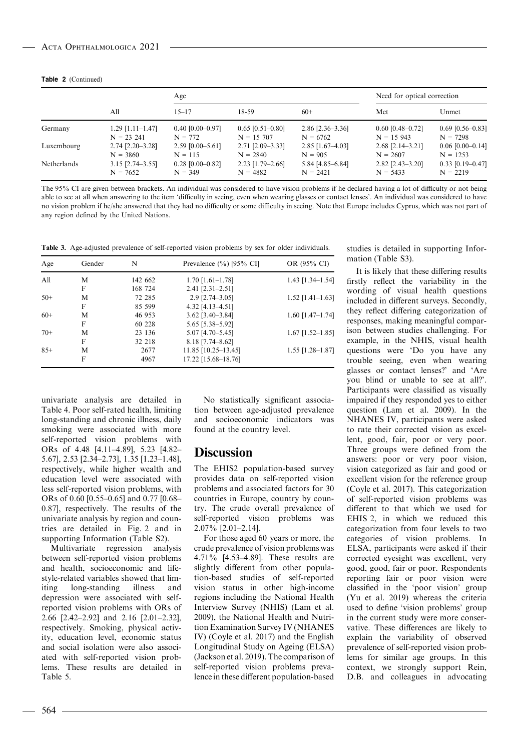|  | <b>Table 2</b> (Continued) |
|--|----------------------------|
|--|----------------------------|

|             |                          | Age                |                          |                    | Need for optical correction |                    |
|-------------|--------------------------|--------------------|--------------------------|--------------------|-----------------------------|--------------------|
|             | All                      | $15 - 17$          | $18 - 59$                | $60+$              | Met                         | Unmet              |
| Germany     | $1.29$ [1.11-1.47]       | $0.40$ [0.00–0.97] | $0.65$ [0.51-0.80]       | $2.86$ [2.36–3.36] | $0.60$ [0.48-0.72]          | $0.69$ [0.56-0.83] |
|             | $N = 23241$              | $N = 772$          | $N = 15,707$             | $N = 6762$         | $N = 15943$                 | $N = 7298$         |
| Luxembourg  | $2.74$ [ $2.20 - 3.28$ ] | $2.59$ [0.00-5.61] | $2.71$ [ $2.09 - 3.33$ ] | $2.85$ [1.67-4.03] | $2.68$ [ $2.14 - 3.21$ ]    | $0.06$ [0.00-0.14] |
|             | $N = 3860$               | $N = 115$          | $N = 2840$               | $N = 905$          | $N = 2607$                  | $N = 1253$         |
| Netherlands | $3.15$ [2.74-3.55]       | $0.28$ [0.00-0.82] | $2.23$ [1.79-2.66]       | 5.84 [4.85-6.84]   | $2.82$ [2.43-3.20]          | $0.33$ [0.19-0.47] |
|             | $N = 7652$               | $N = 349$          | $N = 4882$               | $N = 2421$         | $N = 5433$                  | $N = 2219$         |

The 95% CI are given between brackets. An individual was considered to have vision problems if he declared having a lot of difficulty or not being able to see at all when answering to the item 'difficulty in seeing, even when wearing glasses or contact lenses'. An individual was considered to have no vision problem if he/she answered that they had no difficulty or some difficulty in seeing. Note that Europe includes Cyprus, which was not part of any region defined by the United Nations.

Table 3. Age-adjusted prevalence of self-reported vision problems by sex for older individuals.

| Age   | Gender | N       | Prevalence $(\%)$ [95% CI] | OR (95% CI)        |
|-------|--------|---------|----------------------------|--------------------|
| A11   | M      | 142 662 | $1.70$ [1.61-1.78]         | $1.43$ [1.34-1.54] |
|       | F      | 168 724 | $2.41$ [ $2.31 - 2.51$ ]   |                    |
| $50+$ | M      | 72 285  | $2.9$ [ $2.74 - 3.05$ ]    | $1.52$ [1.41-1.63] |
|       | F      | 85 599  | $4.32$ [4.13-4.51]         |                    |
| $60+$ | M      | 46 953  | $3.62$ [ $3.40 - 3.84$ ]   | $1.60$ [1.47-1.74] |
|       | F      | 60 228  | 5.65 [5.38–5.92]           |                    |
| $70+$ | M      | 23 136  | $5.07$ [4.70-5.45]         | $1.67$ [1.52–1.85] |
|       | F      | 32 218  | $8.18$ [7.74–8.62]         |                    |
| $85+$ | M      | 2677    | 11.85 [10.25-13.45]        | $1.55$ [1.28-1.87] |
|       | F      | 4967    | 17.22 [15.68-18.76]        |                    |

univariate analysis are detailed in Table 4. Poor self-rated health, limiting long-standing and chronic illness, daily smoking were associated with more self-reported vision problems with ORs of 4.48 [4.11–4.89], 5.23 [4.82– 5.67], 2.53 [2.34–2.73], 1.35 [1.23–1.48], respectively, while higher wealth and education level were associated with less self-reported vision problems, with ORs of 0.60 [0.55–0.65] and 0.77 [0.68– 0.87], respectively. The results of the univariate analysis by region and countries are detailed in Fig. 2 and in supporting Information (Table S2).

Multivariate regression analysis between self-reported vision problems and health, socioeconomic and lifestyle-related variables showed that limiting long-standing illness and depression were associated with selfreported vision problems with ORs of 2.66 [2.42–2.92] and 2.16 [2.01–2.32], respectively. Smoking, physical activity, education level, economic status and social isolation were also associated with self-reported vision problems. These results are detailed in Table 5.

No statistically significant association between age-adjusted prevalence and socioeconomic indicators was found at the country level.

### Discussion

The EHIS2 population-based survey provides data on self-reported vision problems and associated factors for 30 countries in Europe, country by country. The crude overall prevalence of self-reported vision problems was 2.07% [2.01–2.14].

For those aged 60 years or more, the crude prevalence of vision problems was 4.71% [4.53–4.89]. These results are slightly different from other population-based studies of self-reported vision status in other high-income regions including the National Health Interview Survey (NHIS) (Lam et al. 2009), the National Health and Nutrition Examination Survey IV (NHANES IV) (Coyle et al. 2017) and the English Longitudinal Study on Ageing (ELSA) (Jackson et al. 2019). The comparison of self-reported vision problems prevalence in these different population-based studies is detailed in supporting Information (Table S3).

It is likely that these differing results firstly reflect the variability in the wording of visual health questions included in different surveys. Secondly, they reflect differing categorization of responses, making meaningful comparison between studies challenging. For example, in the NHIS, visual health questions were 'Do you have any trouble seeing, even when wearing glasses or contact lenses?' and 'Are you blind or unable to see at all?'. Participants were classified as visually impaired if they responded yes to either question (Lam et al. 2009). In the NHANES IV, participants were asked to rate their corrected vision as excellent, good, fair, poor or very poor. Three groups were defined from the answers: poor or very poor vision, vision categorized as fair and good or excellent vision for the reference group (Coyle et al. 2017). This categorization of self-reported vision problems was different to that which we used for EHIS 2, in which we reduced this categorization from four levels to two categories of vision problems. In ELSA, participants were asked if their corrected eyesight was excellent, very good, good, fair or poor. Respondents reporting fair or poor vision were classified in the 'poor vision' group (Yu et al. 2019) whereas the criteria used to define 'vision problems' group in the current study were more conservative. These differences are likely to explain the variability of observed prevalence of self-reported vision problems for similar age groups. In this context, we strongly support Rein, D.B. and colleagues in advocating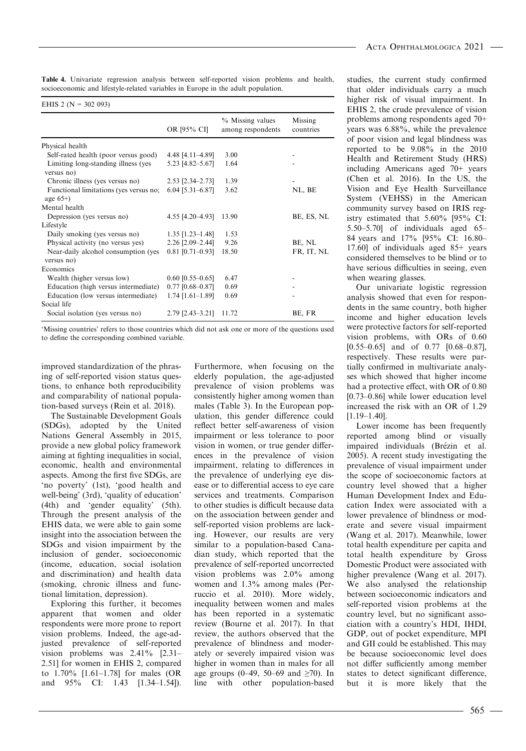Table 4. Univariate regression analysis between self-reported vision problems and health, socioeconomic and lifestyle-related variables in Europe in the adult population.

| EHIS 2 ( $N = 302093$ ) |  |  |  |
|-------------------------|--|--|--|
|                         |  |  |  |

|                                                     | OR [95% CI]              | % Missing values<br>among respondents | Missing<br>countries |
|-----------------------------------------------------|--------------------------|---------------------------------------|----------------------|
| Physical health                                     |                          |                                       |                      |
| Self-rated health (poor versus good)                | 4.48 [4.11-4.89]         | 3.00                                  |                      |
| Limiting long-standing illness (yes<br>versus no)   | 5.23 [4.82–5.67]         | 1.64                                  |                      |
| Chronic illness (yes versus no)                     | $2.53$ $[2.34 - 2.73]$   | 1.39                                  |                      |
| Functional limitations (yes versus no;<br>age $65+$ | $6.04$ [5.31-6.87]       | 3.62                                  | NL, BE               |
| Mental health                                       |                          |                                       |                      |
| Depression (yes versus no)                          | 4.55 [4.20–4.93]         | 13.90                                 | BE, ES, NL           |
| Lifestyle                                           |                          |                                       |                      |
| Daily smoking (yes versus no)                       | $1.35$ [1.23–1.48]       | 1.53                                  |                      |
| Physical activity (no versus yes)                   | 2.26 [2.09-2.44]         | 9.26                                  | BE, NL               |
| Near-daily alcohol consumption (yes<br>versus no)   | $0.81$ [0.71-0.93]       | 18.50                                 | FR, IT, NL           |
| Economics                                           |                          |                                       |                      |
| Wealth (higher versus low)                          | $0.60$ [0.55-0.65]       | 6.47                                  |                      |
| Education (high versus intermediate)                | $0.77$ [0.68-0.87]       | 0.69                                  |                      |
| Education (low versus intermediate)<br>Social life  | $1.74$ [1.61-1.89]       | 0.69                                  |                      |
| Social isolation (yes versus no)                    | $2.79$ [ $2.43 - 3.21$ ] | 11.72                                 | BE, FR               |

'Missing countries' refers to those countries which did not ask one or more of the questions used to define the corresponding combined variable.

improved standardization of the phrasing of self-reported vision status questions, to enhance both reproducibility and comparability of national population-based surveys (Rein et al. 2018).

The Sustainable Development Goals (SDGs), adopted by the United Nations General Assembly in 2015, provide a new global policy framework aiming at fighting inequalities in social, economic, health and environmental aspects. Among the first five SDGs, are 'no poverty' (1st), 'good health and well-being' (3rd), 'quality of education' (4th) and 'gender equality' (5th). Through the present analysis of the EHIS data, we were able to gain some insight into the association between the SDGs and vision impairment by the inclusion of gender, socioeconomic (income, education, social isolation and discrimination) and health data (smoking, chronic illness and functional limitation, depression).

Exploring this further, it becomes apparent that women and older respondents were more prone to report vision problems. Indeed, the age-adjusted prevalence of self-reported vision problems was 2.41% [2.31– 2.51] for women in EHIS 2, compared to 1.70% [1.61–1.78] for males (OR and 95% CI: 1.43 [1.34–1.54]).

Furthermore, when focusing on the elderly population, the age-adjusted prevalence of vision problems was consistently higher among women than males (Table 3). In the European population, this gender difference could reflect better self-awareness of vision impairment or less tolerance to poor vision in women, or true gender differences in the prevalence of vision impairment, relating to differences in the prevalence of underlying eye disease or to differential access to eye care services and treatments. Comparison to other studies is difficult because data on the association between gender and self-reported vision problems are lacking. However, our results are very similar to a population-based Canadian study, which reported that the prevalence of self-reported uncorrected vision problems was 2.0% among women and 1.3% among males (Perruccio et al. 2010). More widely, inequality between women and males has been reported in a systematic review (Bourne et al. 2017). In that review, the authors observed that the prevalence of blindness and moderately or severely impaired vision was higher in women than in males for all age groups (0–49, 50–69 and ≥70). In line with other population-based

studies, the current study confirmed that older individuals carry a much higher risk of visual impairment. In EHIS 2, the crude prevalence of vision problems among respondents aged 70+ years was 6.88%, while the prevalence of poor vision and legal blindness was reported to be 9.08% in the 2010 Health and Retirement Study (HRS) including Americans aged 70+ years (Chen et al. 2016). In the US, the Vision and Eye Health Surveillance System (VEHSS) in the American community survey based on IRIS registry estimated that 5.60% [95% CI: 5.50–5.70] of individuals aged 65– 84 years and 17% [95% CI: 16.80– 17.60] of individuals aged 85+ years considered themselves to be blind or to have serious difficulties in seeing, even when wearing glasses.

Our univariate logistic regression analysis showed that even for respondents in the same country, both higher income and higher education levels were protective factors for self-reported vision problems, with ORs of 0.60 [0.55–0.65] and of 0.77 [0.68–0.87], respectively. These results were partially confirmed in multivariate analyses which showed that higher income had a protective effect, with OR of 0.80 [0.73–0.86] while lower education level increased the risk with an OR of 1.29 [1.19–1.40].

Lower income has been frequently reported among blind or visually impaired individuals (Brézin et al. 2005). A recent study investigating the prevalence of visual impairment under the scope of socioeconomic factors at country level showed that a higher Human Development Index and Education Index were associated with a lower prevalence of blindness or moderate and severe visual impairment (Wang et al. 2017). Meanwhile, lower total health expenditure per capita and total health expenditure by Gross Domestic Product were associated with higher prevalence (Wang et al. 2017). We also analysed the relationship between socioeconomic indicators and self-reported vision problems at the country level, but no significant association with a country's HDI, IHDI, GDP, out of pocket expenditure, MPI and GII could be established. This may be because socioeconomic level does not differ sufficiently among member states to detect significant difference, but it is more likely that the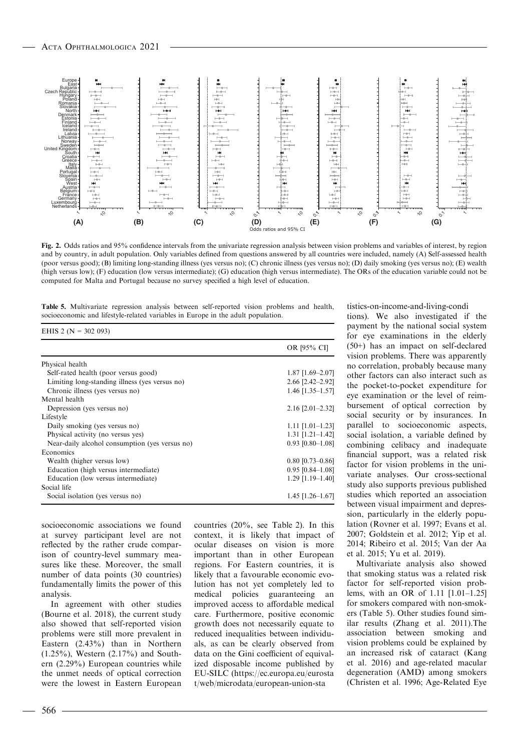$EHE 2 QI = 302.093$ 



Fig. 2. Odds ratios and 95% confidence intervals from the univariate regression analysis between vision problems and variables of interest, by region and by country, in adult population. Only variables defined from questions answered by all countries were included, namely (A) Self-assessed health (poor versus good); (B) limiting long-standing illness (yes versus no); (C) chronic illness (yes versus no); (D) daily smoking (yes versus no); (E) wealth (high versus low); (F) education (low versus intermediate); (G) education (high versus intermediate). The ORs of the education variable could not be computed for Malta and Portugal because no survey specified a high level of education.

Table 5. Multivariate regression analysis between self-reported vision problems and health, socioeconomic and lifestyle-related variables in Europe in the adult population.

| EHIS $2 (N = 302 093)$                         |                          |
|------------------------------------------------|--------------------------|
|                                                | OR [95% CI]              |
| Physical health                                |                          |
| Self-rated health (poor versus good)           | $1.87$ [1.69-2.07]       |
| Limiting long-standing illness (yes versus no) | $2.66$ [ $2.42 - 2.92$ ] |
| Chronic illness (yes versus no)                | $1.46$ [1.35-1.57]       |
| Mental health                                  |                          |
| Depression (yes versus no)                     | $2.16$ [ $2.01-2.32$ ]   |
| Lifestyle                                      |                          |
| Daily smoking (yes versus no)                  | $1.11$ $[1.01-1.23]$     |
| Physical activity (no versus yes)              | $1.31$ [1.21-1.42]       |
| Near-daily alcohol consumption (yes versus no) | $0.93$ [0.80-1.08]       |
| Economics                                      |                          |
| Wealth (higher versus low)                     | $0.80$ [0.73-0.86]       |
| Education (high versus intermediate)           | $0.95$ [0.84–1.08]       |
| Education (low versus intermediate)            | $1.29$ [1.19-1.40]       |
| Social life                                    |                          |
| Social isolation (yes versus no)               | $1.45$ [1.26-1.67]       |

socioeconomic associations we found at survey participant level are not reflected by the rather crude comparison of country-level summary measures like these. Moreover, the small number of data points (30 countries) fundamentally limits the power of this analysis.

In agreement with other studies (Bourne et al. 2018), the current study also showed that self-reported vision problems were still more prevalent in Eastern (2.43%) than in Northern  $(1.25\%)$ , Western  $(2.17\%)$  and Southern (2.29%) European countries while the unmet needs of optical correction were the lowest in Eastern European

countries (20%, see Table 2). In this context, it is likely that impact of ocular diseases on vision is more important than in other European regions. For Eastern countries, it is likely that a favourable economic evolution has not yet completely led to medical policies guaranteeing an improved access to affordable medical care. Furthermore, positive economic growth does not necessarily equate to reduced inequalities between individuals, as can be clearly observed from data on the Gini coefficient of equivalized disposable income published by EU-SILC [\(https://ec.europa.eu/eurosta](https://ec.europa.eu/eurostat/web/microdata/european-union-statistics-on-income-and-living-conditions) [t/web/microdata/european-union-sta](https://ec.europa.eu/eurostat/web/microdata/european-union-statistics-on-income-and-living-conditions)

[tistics-on-income-and-living-condi](https://ec.europa.eu/eurostat/web/microdata/european-union-statistics-on-income-and-living-conditions) [tions\)](https://ec.europa.eu/eurostat/web/microdata/european-union-statistics-on-income-and-living-conditions). We also investigated if the payment by the national social system for eye examinations in the elderly (50+) has an impact on self-declared vision problems. There was apparently no correlation, probably because many other factors can also interact such as the pocket-to-pocket expenditure for eye examination or the level of reimbursement of optical correction by social security or by insurances. In parallel to socioeconomic aspects, social isolation, a variable defined by combining celibacy and inadequate financial support, was a related risk factor for vision problems in the univariate analyses. Our cross-sectional study also supports previous published studies which reported an association between visual impairment and depression, particularly in the elderly population (Rovner et al. 1997; Evans et al. 2007; Goldstein et al. 2012; Yip et al. 2014; Ribeiro et al. 2015; Van der Aa et al. 2015; Yu et al. 2019).

Multivariate analysis also showed that smoking status was a related risk factor for self-reported vision problems, with an OR of 1.11 [1.01–1.25] for smokers compared with non-smokers (Table 5). Other studies found similar results (Zhang et al. 2011).The association between smoking and vision problems could be explained by an increased risk of cataract (Kang et al. 2016) and age-related macular degeneration (AMD) among smokers (Christen et al. 1996; Age-Related Eye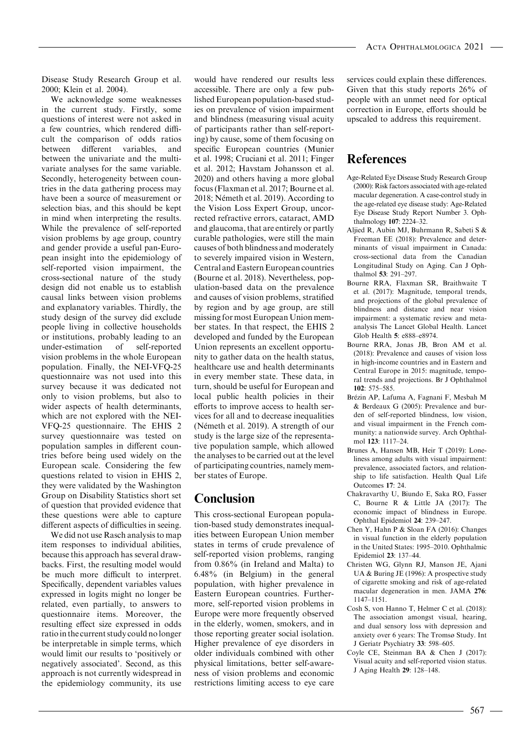Disease Study Research Group et al. 2000; Klein et al. 2004).

We acknowledge some weaknesses in the current study. Firstly, some questions of interest were not asked in a few countries, which rendered difficult the comparison of odds ratios between different variables, and between the univariate and the multivariate analyses for the same variable. Secondly, heterogeneity between countries in the data gathering process may have been a source of measurement or selection bias, and this should be kept in mind when interpreting the results. While the prevalence of self-reported vision problems by age group, country and gender provide a useful pan-European insight into the epidemiology of self-reported vision impairment, the cross-sectional nature of the study design did not enable us to establish causal links between vision problems and explanatory variables. Thirdly, the study design of the survey did exclude people living in collective households or institutions, probably leading to an under-estimation of self-reported vision problems in the whole European population. Finally, the NEI-VFQ-25 questionnaire was not used into this survey because it was dedicated not only to vision problems, but also to wider aspects of health determinants, which are not explored with the NEI-VFQ-25 questionnaire. The EHIS 2 survey questionnaire was tested on population samples in different countries before being used widely on the European scale. Considering the few questions related to vision in EHIS 2, they were validated by the Washington Group on Disability Statistics short set of question that provided evidence that these questions were able to capture different aspects of difficulties in seeing.

We did not use Rasch analysis to map item responses to individual abilities, because this approach has several drawbacks. First, the resulting model would be much more difficult to interpret. Specifically, dependent variables values expressed in logits might no longer be related, even partially, to answers to questionnaire items. Moreover, the resulting effect size expressed in odds ratio in the current study could no longer be interpretable in simple terms, which would limit our results to 'positively or negatively associated'. Second, as this approach is not currently widespread in the epidemiology community, its use

would have rendered our results less accessible. There are only a few published European population-based studies on prevalence of vision impairment and blindness (measuring visual acuity of participants rather than self-reporting) by cause, some of them focusing on specific European countries (Munier et al. 1998; Cruciani et al. 2011; Finger et al. 2012; Havstam Johansson et al. 2020) and others having a more global focus (Flaxman et al. 2017; Bourne et al. 2018; Németh et al. 2019). According to the Vision Loss Expert Group, uncorrected refractive errors, cataract, AMD and glaucoma, that are entirely or partly curable pathologies, were still the main causes of both blindness and moderately to severely impaired vision in Western, Central and Eastern European countries (Bourne et al. 2018). Nevertheless, population-based data on the prevalence and causes of vision problems, stratified by region and by age group, are still missing for most European Union member states. In that respect, the EHIS 2 developed and funded by the European Union represents an excellent opportunity to gather data on the health status, healthcare use and health determinants in every member state. These data, in turn, should be useful for European and local public health policies in their efforts to improve access to health services for all and to decrease inequalities (Németh et al. 2019). A strength of our study is the large size of the representative population sample, which allowed the analyses to be carried out at the level of participating countries, namely member states of Europe.

### Conclusion

This cross-sectional European population-based study demonstrates inequalities between European Union member states in terms of crude prevalence of self-reported vision problems, ranging from 0.86% (in Ireland and Malta) to 6.48% (in Belgium) in the general population, with higher prevalence in Eastern European countries. Furthermore, self-reported vision problems in Europe were more frequently observed in the elderly, women, smokers, and in those reporting greater social isolation. Higher prevalence of eye disorders in older individuals combined with other physical limitations, better self-awareness of vision problems and economic restrictions limiting access to eye care

services could explain these differences. Given that this study reports 26% of people with an unmet need for optical correction in Europe, efforts should be upscaled to address this requirement.

## References

- Age-Related Eye Disease Study Research Group (2000): Risk factors associated with age-related macular degeneration. A case-control study in the age-related eye disease study: Age-Related Eye Disease Study Report Number 3. Ophthalmology 107: 2224–32.
- Aljied R, Aubin MJ, Buhrmann R, Sabeti S & Freeman EE (2018): Prevalence and determinants of visual impairment in Canada: cross-sectional data from the Canadian Longitudinal Study on Aging. Can J Ophthalmol 53: 291–297.
- Bourne RRA, Flaxman SR, Braithwaite T et al. (2017): Magnitude, temporal trends, and projections of the global prevalence of blindness and distance and near vision impairment: a systematic review and metaanalysis The Lancet Global Health. Lancet Glob Health 5: e888–e8974.
- Bourne RRA, Jonas JB, Bron AM et al. (2018): Prevalence and causes of vision loss in high-income countries and in Eastern and Central Europe in 2015: magnitude, temporal trends and projections. Br J Ophthalmol 102: 575–585.
- Brézin AP, Lafuma A, Fagnani F, Mesbah M & Berdeaux G (2005): Prevalence and burden of self-reported blindness, low vision, and visual impairment in the French community: a nationwide survey. Arch Ophthalmol 123: 1117–24.
- Brunes A, Hansen MB, Heir T (2019): Loneliness among adults with visual impairment: prevalence, associated factors, and relationship to life satisfaction. Health Qual Life Outcomes 17: 24.
- Chakravarthy U, Biundo E, Saka RO, Fasser C, Bourne R & Little JA (2017): The economic impact of blindness in Europe. Ophthal Epidemiol 24: 239–247.
- Chen Y, Hahn P & Sloan FA (2016): Changes in visual function in the elderly population in the United States: 1995–2010. Ophthalmic Epidemiol 23: 137–44.
- Christen WG, Glynn RJ, Manson JE, Ajani UA & Buring JE (1996): A prospective study of cigarette smoking and risk of age-related macular degeneration in men. JAMA 276: 1147–1151.
- Cosh S, von Hanno T, Helmer C et al. (2018): The association amongst visual, hearing, and dual sensory loss with depression and anxiety over 6 years: The Tromsø Study. Int J Geriatr Psychiatry 33: 598–605.
- Coyle CE, Steinman BA & Chen J (2017): Visual acuity and self-reported vision status. J Aging Health 29: 128–148.